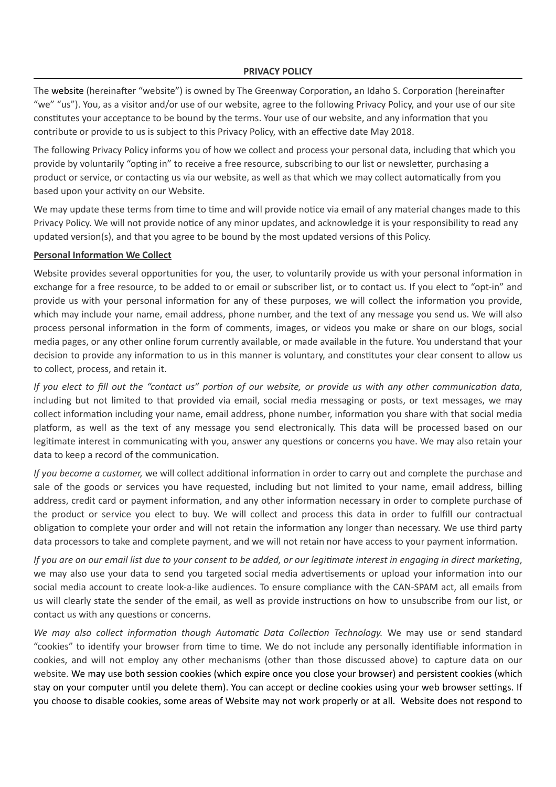The website (hereinafter "website") is owned by The Greenway Corporation**,** an Idaho S. Corporation (hereinafter "we" "us"). You, as a visitor and/or use of our website, agree to the following Privacy Policy, and your use of our site constitutes your acceptance to be bound by the terms. Your use of our website, and any information that you contribute or provide to us is subject to this Privacy Policy, with an effective date May 2018.

The following Privacy Policy informs you of how we collect and process your personal data, including that which you provide by voluntarily "opting in" to receive a free resource, subscribing to our list or newsletter, purchasing a product or service, or contacting us via our website, as well as that which we may collect automatically from you based upon your activity on our Website.

We may update these terms from time to time and will provide notice via email of any material changes made to this Privacy Policy. We will not provide notice of any minor updates, and acknowledge it is your responsibility to read any updated version(s), and that you agree to be bound by the most updated versions of this Policy.

### **Personal Information We Collect**

Website provides several opportunities for you, the user, to voluntarily provide us with your personal information in exchange for a free resource, to be added to or email or subscriber list, or to contact us. If you elect to "opt-in" and provide us with your personal information for any of these purposes, we will collect the information you provide, which may include your name, email address, phone number, and the text of any message you send us. We will also process personal information in the form of comments, images, or videos you make or share on our blogs, social media pages, or any other online forum currently available, or made available in the future. You understand that your decision to provide any information to us in this manner is voluntary, and constitutes your clear consent to allow us to collect, process, and retain it.

*If you elect to fill out the "contact us" portion of our website, or provide us with any other communication data*, including but not limited to that provided via email, social media messaging or posts, or text messages, we may collect information including your name, email address, phone number, information you share with that social media platform, as well as the text of any message you send electronically. This data will be processed based on our legitimate interest in communicating with you, answer any questions or concerns you have. We may also retain your data to keep a record of the communication.

*If you become a customer,* we will collect additional information in order to carry out and complete the purchase and sale of the goods or services you have requested, including but not limited to your name, email address, billing address, credit card or payment information, and any other information necessary in order to complete purchase of the product or service you elect to buy. We will collect and process this data in order to fulfill our contractual obligation to complete your order and will not retain the information any longer than necessary. We use third party data processors to take and complete payment, and we will not retain nor have access to your payment information.

*If you are on our email list due to your consent to be added, or our legitimate interest in engaging in direct marketing*, we may also use your data to send you targeted social media advertisements or upload your information into our social media account to create look-a-like audiences. To ensure compliance with the CAN-SPAM act, all emails from us will clearly state the sender of the email, as well as provide instructions on how to unsubscribe from our list, or contact us with any questions or concerns.

*We may also collect information though Automatic Data Collection Technology.* We may use or send standard "cookies" to identify your browser from time to time. We do not include any personally identifiable information in cookies, and will not employ any other mechanisms (other than those discussed above) to capture data on our website. We may use both session cookies (which expire once you close your browser) and persistent cookies (which stay on your computer until you delete them). You can accept or decline cookies using your web browser settings. If you choose to disable cookies, some areas of Website may not work properly or at all. Website does not respond to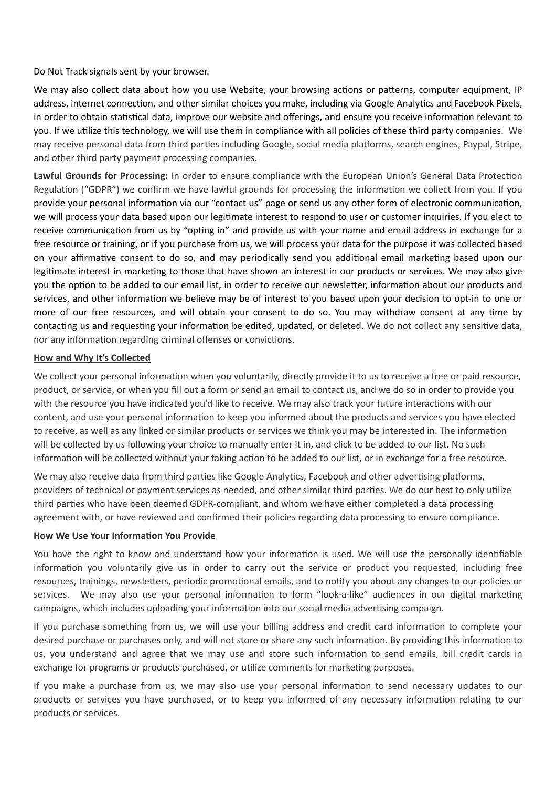Do Not Track signals sent by your browser.

We may also collect data about how you use Website, your browsing actions or patterns, computer equipment, IP address, internet connection, and other similar choices you make, including via Google Analytics and Facebook Pixels, in order to obtain statistical data, improve our website and offerings, and ensure you receive information relevant to you. If we utilize this technology, we will use them in compliance with all policies of these third party companies. We may receive personal data from third parties including Google, social media platforms, search engines, Paypal, Stripe, and other third party payment processing companies.

**Lawful Grounds for Processing:** In order to ensure compliance with the European Union's General Data Protection Regulation ("GDPR") we confirm we have lawful grounds for processing the information we collect from you. If you provide your personal information via our "contact us" page or send us any other form of electronic communication, we will process your data based upon our legitimate interest to respond to user or customer inquiries. If you elect to receive communication from us by "opting in" and provide us with your name and email address in exchange for a free resource or training, or if you purchase from us, we will process your data for the purpose it was collected based on your affirmative consent to do so, and may periodically send you additional email marketing based upon our legitimate interest in marketing to those that have shown an interest in our products or services. We may also give you the option to be added to our email list, in order to receive our newsletter, information about our products and services, and other information we believe may be of interest to you based upon your decision to opt-in to one or more of our free resources, and will obtain your consent to do so. You may withdraw consent at any time by contacting us and requesting your information be edited, updated, or deleted. We do not collect any sensitive data, nor any information regarding criminal offenses or convictions.

## **How and Why It's Collected**

We collect your personal information when you voluntarily, directly provide it to us to receive a free or paid resource, product, or service, or when you fill out a form or send an email to contact us, and we do so in order to provide you with the resource you have indicated you'd like to receive. We may also track your future interactions with our content, and use your personal information to keep you informed about the products and services you have elected to receive, as well as any linked or similar products or services we think you may be interested in. The information will be collected by us following your choice to manually enter it in, and click to be added to our list. No such information will be collected without your taking action to be added to our list, or in exchange for a free resource.

We may also receive data from third parties like Google Analytics, Facebook and other advertising platforms, providers of technical or payment services as needed, and other similar third parties. We do our best to only utilize third parties who have been deemed GDPR-compliant, and whom we have either completed a data processing agreement with, or have reviewed and confirmed their policies regarding data processing to ensure compliance.

### **How We Use Your Information You Provide**

You have the right to know and understand how your information is used. We will use the personally identifiable information you voluntarily give us in order to carry out the service or product you requested, including free resources, trainings, newsletters, periodic promotional emails, and to notify you about any changes to our policies or services. We may also use your personal information to form "look-a-like" audiences in our digital marketing campaigns, which includes uploading your information into our social media advertising campaign.

If you purchase something from us, we will use your billing address and credit card information to complete your desired purchase or purchases only, and will not store or share any such information. By providing this information to us, you understand and agree that we may use and store such information to send emails, bill credit cards in exchange for programs or products purchased, or utilize comments for marketing purposes.

If you make a purchase from us, we may also use your personal information to send necessary updates to our products or services you have purchased, or to keep you informed of any necessary information relating to our products or services.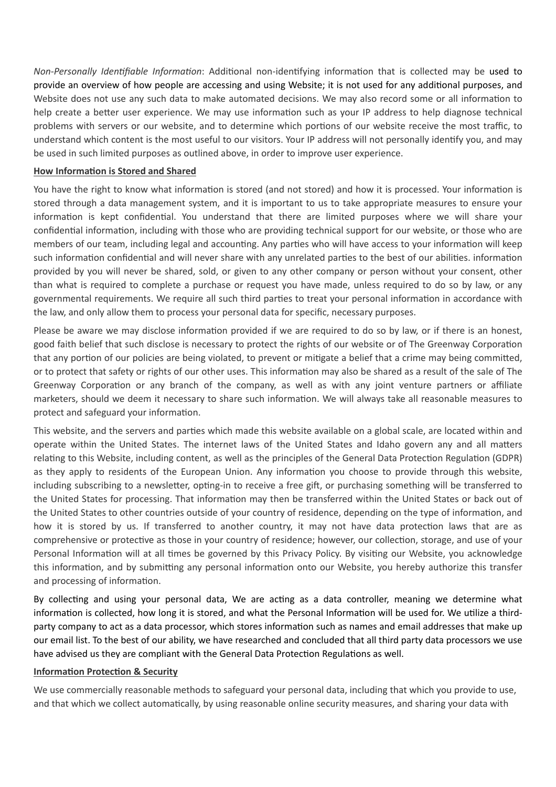*Non-Personally Identifiable Information*: Additional non-identifying information that is collected may be used to provide an overview of how people are accessing and using Website; it is not used for any additional purposes, and Website does not use any such data to make automated decisions. We may also record some or all information to help create a better user experience. We may use information such as your IP address to help diagnose technical problems with servers or our website, and to determine which portions of our website receive the most traffic, to understand which content is the most useful to our visitors. Your IP address will not personally identify you, and may be used in such limited purposes as outlined above, in order to improve user experience.

#### **How Information is Stored and Shared**

You have the right to know what information is stored (and not stored) and how it is processed. Your information is stored through a data management system, and it is important to us to take appropriate measures to ensure your information is kept confidential. You understand that there are limited purposes where we will share your confidential information, including with those who are providing technical support for our website, or those who are members of our team, including legal and accounting. Any parties who will have access to your information will keep such information confidential and will never share with any unrelated parties to the best of our abilities. information provided by you will never be shared, sold, or given to any other company or person without your consent, other than what is required to complete a purchase or request you have made, unless required to do so by law, or any governmental requirements. We require all such third parties to treat your personal information in accordance with the law, and only allow them to process your personal data for specific, necessary purposes.

Please be aware we may disclose information provided if we are required to do so by law, or if there is an honest, good faith belief that such disclose is necessary to protect the rights of our website or of The Greenway Corporation that any portion of our policies are being violated, to prevent or mitigate a belief that a crime may being committed, or to protect that safety or rights of our other uses. This information may also be shared as a result of the sale of The Greenway Corporation or any branch of the company, as well as with any joint venture partners or affiliate marketers, should we deem it necessary to share such information. We will always take all reasonable measures to protect and safeguard your information.

This website, and the servers and parties which made this website available on a global scale, are located within and operate within the United States. The internet laws of the United States and Idaho govern any and all matters relating to this Website, including content, as well as the principles of the General Data Protection Regulation (GDPR) as they apply to residents of the European Union. Any information you choose to provide through this website, including subscribing to a newsletter, opting-in to receive a free gift, or purchasing something will be transferred to the United States for processing. That information may then be transferred within the United States or back out of the United States to other countries outside of your country of residence, depending on the type of information, and how it is stored by us. If transferred to another country, it may not have data protection laws that are as comprehensive or protective as those in your country of residence; however, our collection, storage, and use of your Personal Information will at all times be governed by this Privacy Policy. By visiting our Website, you acknowledge this information, and by submitting any personal information onto our Website, you hereby authorize this transfer and processing of information.

By collecting and using your personal data, We are acting as a data controller, meaning we determine what information is collected, how long it is stored, and what the Personal Information will be used for. We utilize a thirdparty company to act as a data processor, which stores information such as names and email addresses that make up our email list. To the best of our ability, we have researched and concluded that all third party data processors we use have advised us they are compliant with the General Data Protection Regulations as well.

#### **Information Protection & Security**

We use commercially reasonable methods to safeguard your personal data, including that which you provide to use, and that which we collect automatically, by using reasonable online security measures, and sharing your data with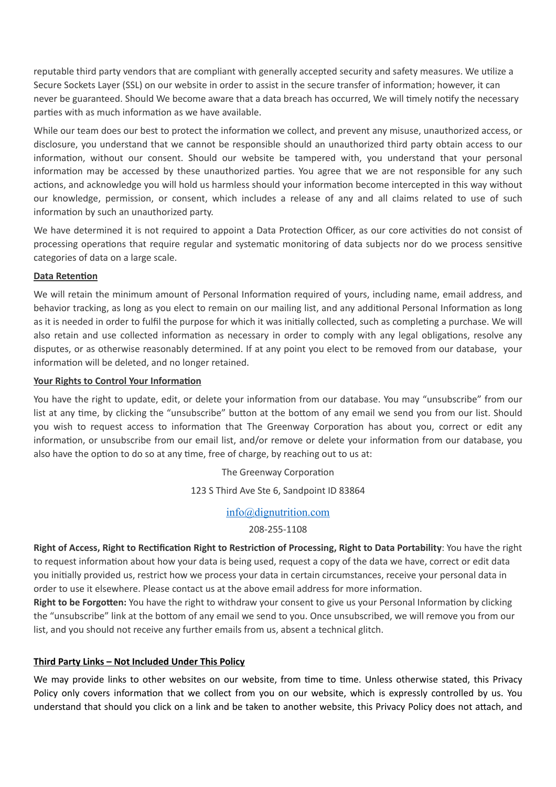reputable third party vendors that are compliant with generally accepted security and safety measures. We utilize a Secure Sockets Layer (SSL) on our website in order to assist in the secure transfer of information; however, it can never be guaranteed. Should We become aware that a data breach has occurred, We will timely notify the necessary parties with as much information as we have available.

While our team does our best to protect the information we collect, and prevent any misuse, unauthorized access, or disclosure, you understand that we cannot be responsible should an unauthorized third party obtain access to our information, without our consent. Should our website be tampered with, you understand that your personal information may be accessed by these unauthorized parties. You agree that we are not responsible for any such actions, and acknowledge you will hold us harmless should your information become intercepted in this way without our knowledge, permission, or consent, which includes a release of any and all claims related to use of such information by such an unauthorized party.

We have determined it is not required to appoint a Data Protection Officer, as our core activities do not consist of processing operations that require regular and systematic monitoring of data subjects nor do we process sensitive categories of data on a large scale.

# **Data Retention**

We will retain the minimum amount of Personal Information required of yours, including name, email address, and behavior tracking, as long as you elect to remain on our mailing list, and any additional Personal Information as long as it is needed in order to fulfil the purpose for which it was initially collected, such as completing a purchase. We will also retain and use collected information as necessary in order to comply with any legal obligations, resolve any disputes, or as otherwise reasonably determined. If at any point you elect to be removed from our database, your information will be deleted, and no longer retained.

### **Your Rights to Control Your Information**

You have the right to update, edit, or delete your information from our database. You may "unsubscribe" from our list at any time, by clicking the "unsubscribe" button at the bottom of any email we send you from our list. Should you wish to request access to information that The Greenway Corporation has about you, correct or edit any information, or unsubscribe from our email list, and/or remove or delete your information from our database, you also have the option to do so at any time, free of charge, by reaching out to us at:

The Greenway Corporation

123 S Third Ave Ste 6, Sandpoint ID 83864

# [info@dignutrition.com](mailto:info@dignutrition.com)

## 208-255-1108

**Right of Access, Right to Rectification Right to Restriction of Processing, Right to Data Portability**: You have the right to request information about how your data is being used, request a copy of the data we have, correct or edit data you initially provided us, restrict how we process your data in certain circumstances, receive your personal data in order to use it elsewhere. Please contact us at the above email address for more information.

**Right to be Forgotten:** You have the right to withdraw your consent to give us your Personal Information by clicking the "unsubscribe" link at the bottom of any email we send to you. Once unsubscribed, we will remove you from our list, and you should not receive any further emails from us, absent a technical glitch.

# **Third Party Links – Not Included Under This Policy**

We may provide links to other websites on our website, from time to time. Unless otherwise stated, this Privacy Policy only covers information that we collect from you on our website, which is expressly controlled by us. You understand that should you click on a link and be taken to another website, this Privacy Policy does not attach, and